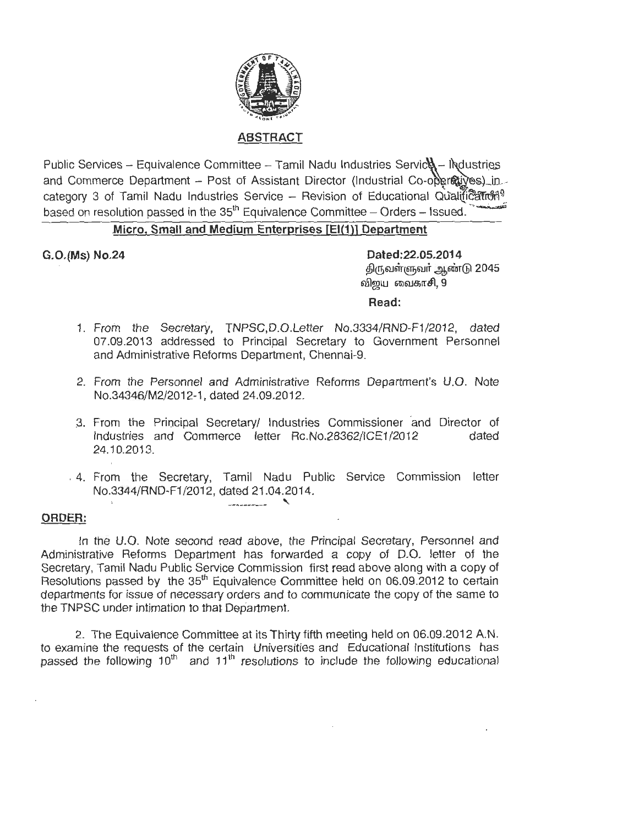

## **ABSTRACT**

Public Services - Equivalence Committee - Tamil Nadu Industries Servic $\mathcal{U}$  - ligustries and Commerce Department - Post of Assistant Director (Industrial Co-operatives) in category 3 of Tamil Nadu Industries Service - Revision of Educational Qualification<sup>9</sup> based on resolution passed in the  $35<sup>th</sup>$  Equivalence Committee - Orders - Issued.

# **Micro, Small and Medium Enterprises [El(1 )] Department**

**G.0.(Ms) No.24 Dated:22.05.2014**  திருவள்ளுவர் ஆண்டு 2045 விறய வைகாசி,  $9$ 

### **Read:**

- 1. From the Secretary, TNPSC,D.O.Letter No.3334/RND-F1/2012, dated 07.09.2013 addressed to Principal Secretary to Government Personnel and Administrative Reforms Department, Chennai-9.
- 2. From the Personnel and Administrative Reforms Department's U.O. Note No.34346/M2/2012-1, dated 24.09.2012.
- 3. From the Principal Secretary/ Industries Commissioner and Director of Industries and Commerce letter Rc.No.28362/ICE1/2012 dated 24.10.2013.
- . 4. From the Secretary, Tamil Nadu Public Service Commission letter No.3344/RND-F1 /2012, dated 21 .04.2014. ---------- '

#### **ORDER:**

In the U.O. Note second read above, the Principal Secretary, Personnel and Administrative Reforms Department has forwarded a copy of D.O. letter of the Secretary, Tamil Nadu Public Service Commission first read above along with a copy of Resolutions passed by the  $35<sup>th</sup>$  Equivalence Committee held on 06.09.2012 to certain departments for issue of necessary orders and to communicate the copy of the same to the TNPSC under intimation to that Department.

2. The Equivalence Committee at its Thirty fifth meeting held on 06.09.2012 A.N. to examine the requests of the certain Universities and Educational Institutions has passed the following  $10<sup>th</sup>$  and  $11<sup>th</sup>$  resolutions to include the following educational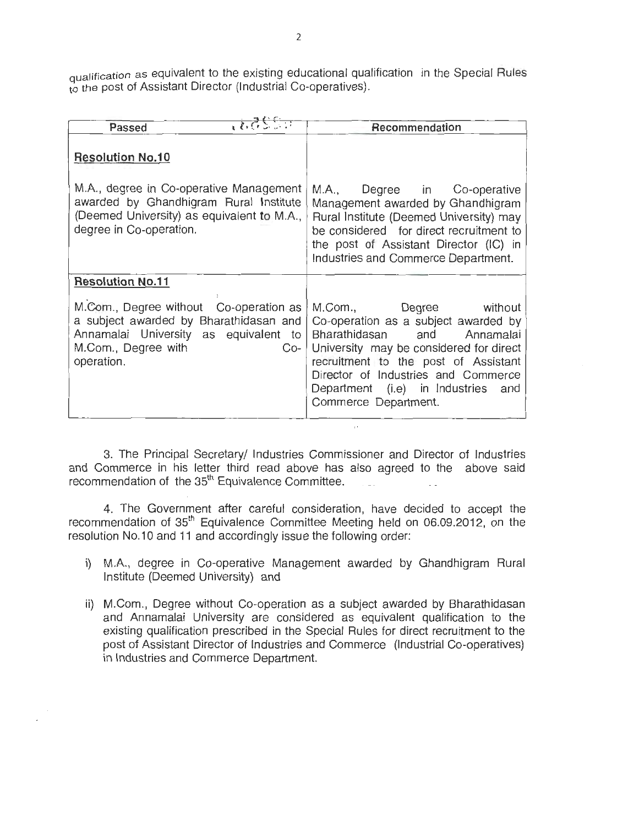qualification as equivalent to the existing educational qualification in the Special Rules to the post of Assistant Director (Industrial Co-operatives).

| Passed                                                                                                                                                                  | $-225.7$ | Recommendation                                                                                                                                                                                                                                                                           |
|-------------------------------------------------------------------------------------------------------------------------------------------------------------------------|----------|------------------------------------------------------------------------------------------------------------------------------------------------------------------------------------------------------------------------------------------------------------------------------------------|
| <b>Resolution No.10</b>                                                                                                                                                 |          |                                                                                                                                                                                                                                                                                          |
| M.A., degree in Co-operative Management<br>awarded by Ghandhigram Rural Institute<br>(Deemed University) as equivalent to M.A.,<br>degree in Co-operation.              |          | M.A., Degree in Co-operative<br>Management awarded by Ghandhigram<br>Rural Institute (Deemed University) may<br>be considered for direct recruitment to<br>the post of Assistant Director (IC) in<br>Industries and Commerce Department.                                                 |
| <b>Resolution No.11</b>                                                                                                                                                 |          |                                                                                                                                                                                                                                                                                          |
| M.Com., Degree without Co-operation as<br>a subject awarded by Bharathidasan and<br>Annamalai University as equivalent to<br>M.Com., Degree with<br>$Co-$<br>operation. |          | M.Com., Degree without<br>Co-operation as a subject awarded by<br>Bharathidasan and Annamalai<br>University may be considered for direct<br>recruitment to the post of Assistant<br>Director of Industries and Commerce<br>Department (i.e) in Industries<br>and<br>Commerce Department. |

3. The Principal Secretary/ Industries Commissioner and Director of Industries and Commerce in his letter third read above has also agreed to the above said recommendation of the  $35<sup>th</sup>$  Equivalence Committee.

 $\mathbb{R}^+$ 

4. The Government after careful consideration, have decided to accept the recommendation of 35<sup>th</sup> Equivalence Committee Meeting held on 06.09.2012, on the resolution No.10 and 11 and accordingly issue the following order:

- i) M.A., degree in Co-operative Management awarded by Ghandhigram Rural Institute (Deemed University) and
- ii) M.Com., Degree without Co-operation as a subject awarded by Bharathidasan and Annamalai University are considered as equivalent qualification to the existing qualification prescribed in the Special Rules for direct recruitment to the post of Assistant Director of Industries and Commerce (Industrial Co-operatives) in Industries and Commerce Department.